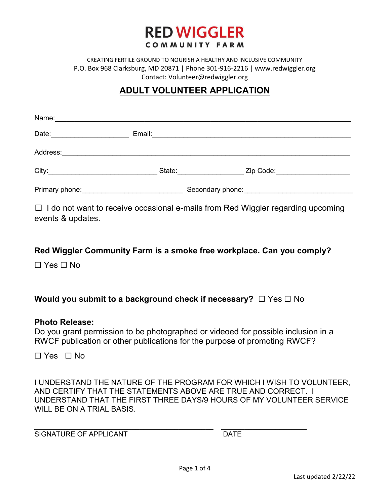

CREATING FERTILE GROUND TO NOURISH A HEALTHY AND INCLUSIVE COMMUNITY P.O. Box 968 Clarksburg, MD 20871 | Phone 301-916-2216 | www.redwiggler.org Contact: Volunteer@redwiggler.org

# ADULT VOLUNTEER APPLICATION

| Name:          |                       |                                                                                                                                                                                                                                |  |
|----------------|-----------------------|--------------------------------------------------------------------------------------------------------------------------------------------------------------------------------------------------------------------------------|--|
| Date:          | Email:                |                                                                                                                                                                                                                                |  |
| Address:       |                       |                                                                                                                                                                                                                                |  |
|                | State: <b>Example</b> | Zip Code: The Code of the Code of the Code of the Code of the Code of the Code of the Code of the Code of the Code of the Code of the Code of the Code of the Code of the Code of the Code of the Code of the Code of the Code |  |
| Primary phone: |                       |                                                                                                                                                                                                                                |  |

 $\Box$  I do not want to receive occasional e-mails from Red Wiggler regarding upcoming events & updates.

# Red Wiggler Community Farm is a smoke free workplace. Can you comply?

☐ Yes ☐ No

# Would you submit to a background check if necessary? □ Yes □ No

#### Photo Release:

Do you grant permission to be photographed or videoed for possible inclusion in a RWCF publication or other publications for the purpose of promoting RWCF?

☐ Yes ☐ No

I UNDERSTAND THE NATURE OF THE PROGRAM FOR WHICH I WISH TO VOLUNTEER, AND CERTIFY THAT THE STATEMENTS ABOVE ARE TRUE AND CORRECT. I UNDERSTAND THAT THE FIRST THREE DAYS/9 HOURS OF MY VOLUNTEER SERVICE WILL BE ON A TRIAL BASIS.

SIGNATURE OF APPLICANT DATE

\_\_\_\_\_\_\_\_\_\_\_\_\_\_\_\_\_\_\_\_\_\_\_\_\_\_\_\_\_\_\_\_\_\_\_\_\_\_\_\_\_\_\_\_\_\_ \_\_\_\_\_\_\_\_\_\_\_\_\_\_\_\_\_\_\_\_\_\_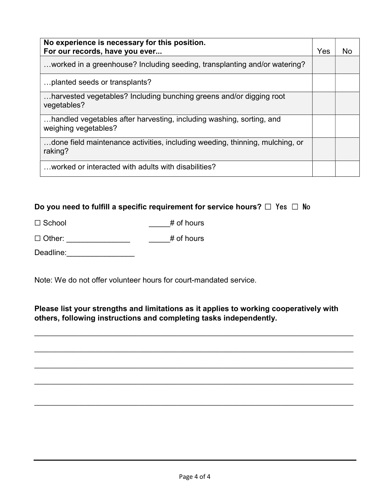| No experience is necessary for this position.<br>For our records, have you ever              | Yes | No |
|----------------------------------------------------------------------------------------------|-----|----|
| worked in a greenhouse? Including seeding, transplanting and/or watering?                    |     |    |
| planted seeds or transplants?                                                                |     |    |
| harvested vegetables? Including bunching greens and/or digging root<br>vegetables?           |     |    |
| handled vegetables after harvesting, including washing, sorting, and<br>weighing vegetables? |     |    |
| done field maintenance activities, including weeding, thinning, mulching, or<br>raking?      |     |    |
| worked or interacted with adults with disabilities?                                          |     |    |

# Do you need to fulfill a specific requirement for service hours?  $\Box$  Yes  $\Box$  No

| $\Box$ School | $#$ of hours |
|---------------|--------------|
|               |              |

| $\Box$ Other: | # of hours |
|---------------|------------|
|               |            |

Deadline:\_\_\_\_\_\_\_\_\_\_\_\_\_\_\_\_\_\_\_\_\_

Note: We do not offer volunteer hours for court-mandated service.

# Please list your strengths and limitations as it applies to working cooperatively with others, following instructions and completing tasks independently.

 $\mathcal{L}_\mathcal{L} = \mathcal{L}_\mathcal{L} = \mathcal{L}_\mathcal{L} = \mathcal{L}_\mathcal{L} = \mathcal{L}_\mathcal{L} = \mathcal{L}_\mathcal{L} = \mathcal{L}_\mathcal{L} = \mathcal{L}_\mathcal{L} = \mathcal{L}_\mathcal{L} = \mathcal{L}_\mathcal{L} = \mathcal{L}_\mathcal{L} = \mathcal{L}_\mathcal{L} = \mathcal{L}_\mathcal{L} = \mathcal{L}_\mathcal{L} = \mathcal{L}_\mathcal{L} = \mathcal{L}_\mathcal{L} = \mathcal{L}_\mathcal{L}$ 

 $\mathcal{L}_\mathcal{L} = \mathcal{L}_\mathcal{L} = \mathcal{L}_\mathcal{L} = \mathcal{L}_\mathcal{L} = \mathcal{L}_\mathcal{L} = \mathcal{L}_\mathcal{L} = \mathcal{L}_\mathcal{L} = \mathcal{L}_\mathcal{L} = \mathcal{L}_\mathcal{L} = \mathcal{L}_\mathcal{L} = \mathcal{L}_\mathcal{L} = \mathcal{L}_\mathcal{L} = \mathcal{L}_\mathcal{L} = \mathcal{L}_\mathcal{L} = \mathcal{L}_\mathcal{L} = \mathcal{L}_\mathcal{L} = \mathcal{L}_\mathcal{L}$ 

 $\mathcal{L}_\mathcal{L} = \mathcal{L}_\mathcal{L} = \mathcal{L}_\mathcal{L} = \mathcal{L}_\mathcal{L} = \mathcal{L}_\mathcal{L} = \mathcal{L}_\mathcal{L} = \mathcal{L}_\mathcal{L} = \mathcal{L}_\mathcal{L} = \mathcal{L}_\mathcal{L} = \mathcal{L}_\mathcal{L} = \mathcal{L}_\mathcal{L} = \mathcal{L}_\mathcal{L} = \mathcal{L}_\mathcal{L} = \mathcal{L}_\mathcal{L} = \mathcal{L}_\mathcal{L} = \mathcal{L}_\mathcal{L} = \mathcal{L}_\mathcal{L}$ 

 $\mathcal{L}_\mathcal{L} = \mathcal{L}_\mathcal{L} = \mathcal{L}_\mathcal{L} = \mathcal{L}_\mathcal{L} = \mathcal{L}_\mathcal{L} = \mathcal{L}_\mathcal{L} = \mathcal{L}_\mathcal{L} = \mathcal{L}_\mathcal{L} = \mathcal{L}_\mathcal{L} = \mathcal{L}_\mathcal{L} = \mathcal{L}_\mathcal{L} = \mathcal{L}_\mathcal{L} = \mathcal{L}_\mathcal{L} = \mathcal{L}_\mathcal{L} = \mathcal{L}_\mathcal{L} = \mathcal{L}_\mathcal{L} = \mathcal{L}_\mathcal{L}$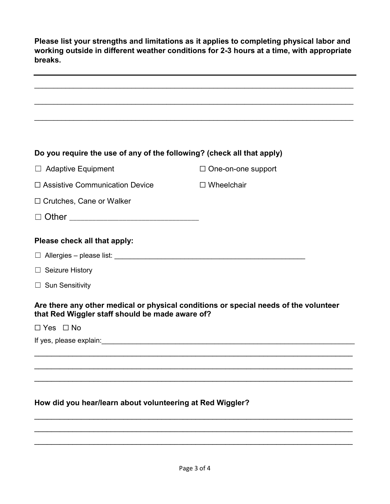Please list your strengths and limitations as it applies to completing physical labor and working outside in different weather conditions for 2-3 hours at a time, with appropriate breaks.

|                                                                                                                                                                                                                                                                                                                                                                              | ,我们也不会有什么。""我们的人,我们也不会有什么?""我们的人,我们也不会有什么?""我们的人,我们也不会有什么?""我们的人,我们也不会有什么?""我们的人     |
|------------------------------------------------------------------------------------------------------------------------------------------------------------------------------------------------------------------------------------------------------------------------------------------------------------------------------------------------------------------------------|--------------------------------------------------------------------------------------|
| Do you require the use of any of the following? (check all that apply)                                                                                                                                                                                                                                                                                                       |                                                                                      |
| $\Box$ Adaptive Equipment                                                                                                                                                                                                                                                                                                                                                    | $\Box$ One-on-one support                                                            |
| $\Box$ Assistive Communication Device                                                                                                                                                                                                                                                                                                                                        | $\Box$ Wheelchair                                                                    |
| $\Box$ Crutches, Cane or Walker                                                                                                                                                                                                                                                                                                                                              |                                                                                      |
|                                                                                                                                                                                                                                                                                                                                                                              |                                                                                      |
| Please check all that apply:<br>$\Box$ Allergies – please list: $\angle$ / $\angle$ / $\angle$ / $\angle$ / $\angle$ / $\angle$ / $\angle$ / $\angle$ / $\angle$ / $\angle$ / $\angle$ / $\angle$ / $\angle$ / $\angle$ / $\angle$ / $\angle$ / $\angle$ / $\angle$ / $\angle$ / $\angle$ / $\angle$ / $\angle$ / $\angle$ / $\angle$ / $\angle$ / $\angle$ / $\angle$ / $\$ |                                                                                      |
| $\Box$ Seizure History                                                                                                                                                                                                                                                                                                                                                       |                                                                                      |
| $\Box$ Sun Sensitivity                                                                                                                                                                                                                                                                                                                                                       |                                                                                      |
| that Red Wiggler staff should be made aware of?                                                                                                                                                                                                                                                                                                                              | Are there any other medical or physical conditions or special needs of the volunteer |
| $\Box$ Yes $\Box$ No                                                                                                                                                                                                                                                                                                                                                         |                                                                                      |
|                                                                                                                                                                                                                                                                                                                                                                              |                                                                                      |
|                                                                                                                                                                                                                                                                                                                                                                              |                                                                                      |
|                                                                                                                                                                                                                                                                                                                                                                              |                                                                                      |

\_\_\_\_\_\_\_\_\_\_\_\_\_\_\_\_\_\_\_\_\_\_\_\_\_\_\_\_\_\_\_\_\_\_\_\_\_\_\_\_\_\_\_\_\_\_\_\_\_\_\_\_\_\_\_\_\_\_\_\_\_\_\_\_\_\_\_\_\_\_\_\_\_\_\_  $\mathcal{L}_\text{max}$  , and the contribution of the contribution of the contribution of the contribution of the contribution of the contribution of the contribution of the contribution of the contribution of the contribution of t  $\mathcal{L}_\text{max}$  and  $\mathcal{L}_\text{max}$  and  $\mathcal{L}_\text{max}$  and  $\mathcal{L}_\text{max}$  and  $\mathcal{L}_\text{max}$  and  $\mathcal{L}_\text{max}$